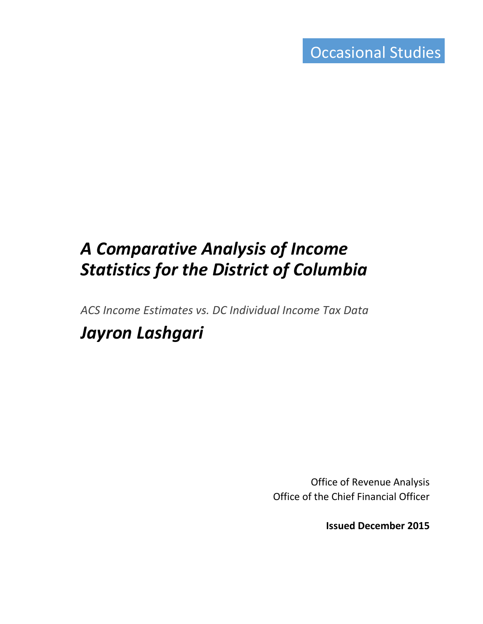# *A Comparative Analysis of Income Statistics for the District of Columbia*

*ACS Income Estimates vs. DC Individual Income Tax Data*

## *Jayron Lashgari*

Office of Revenue Analysis Office of the Chief Financial Officer

**Issued December 2015**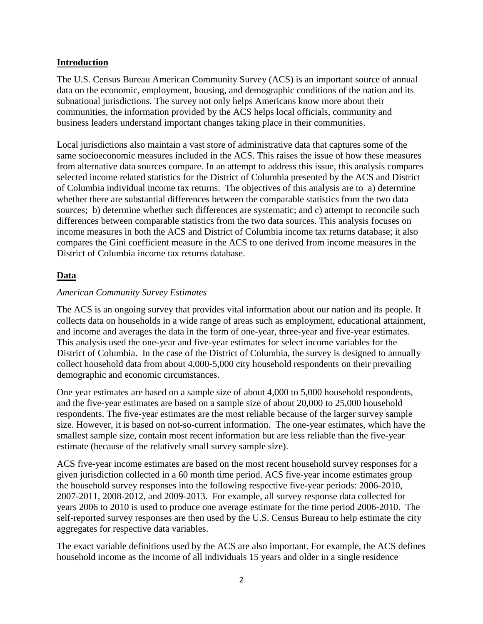## **Introduction**

The U.S. Census Bureau American Community Survey (ACS) is an important source of annual data on the economic, employment, housing, and demographic conditions of the nation and its subnational jurisdictions. The survey not only helps Americans know more about their communities, the information provided by the ACS helps local officials, community and business leaders understand important changes taking place in their communities.

Local jurisdictions also maintain a vast store of administrative data that captures some of the same socioeconomic measures included in the ACS. This raises the issue of how these measures from alternative data sources compare. In an attempt to address this issue, this analysis compares selected income related statistics for the District of Columbia presented by the ACS and District of Columbia individual income tax returns. The objectives of this analysis are to a) determine whether there are substantial differences between the comparable statistics from the two data sources; b) determine whether such differences are systematic; and c) attempt to reconcile such differences between comparable statistics from the two data sources. This analysis focuses on income measures in both the ACS and District of Columbia income tax returns database; it also compares the Gini coefficient measure in the ACS to one derived from income measures in the District of Columbia income tax returns database.

## **Data**

## *American Community Survey Estimates*

The ACS is an ongoing survey that provides vital information about our nation and its people. It collects data on households in a wide range of areas such as employment, educational attainment, and income and averages the data in the form of one-year, three-year and five-year estimates. This analysis used the one-year and five-year estimates for select income variables for the District of Columbia. In the case of the District of Columbia, the survey is designed to annually collect household data from about 4,000-5,000 city household respondents on their prevailing demographic and economic circumstances.

One year estimates are based on a sample size of about 4,000 to 5,000 household respondents, and the five-year estimates are based on a sample size of about 20,000 to 25,000 household respondents. The five-year estimates are the most reliable because of the larger survey sample size. However, it is based on not-so-current information. The one-year estimates, which have the smallest sample size, contain most recent information but are less reliable than the five-year estimate (because of the relatively small survey sample size).

ACS five-year income estimates are based on the most recent household survey responses for a given jurisdiction collected in a 60 month time period. ACS five-year income estimates group the household survey responses into the following respective five-year periods: 2006-2010, 2007-2011, 2008-2012, and 2009-2013. For example, all survey response data collected for years 2006 to 2010 is used to produce one average estimate for the time period 2006-2010. The self-reported survey responses are then used by the U.S. Census Bureau to help estimate the city aggregates for respective data variables.

The exact variable definitions used by the ACS are also important. For example, the ACS defines household income as the income of all individuals 15 years and older in a single residence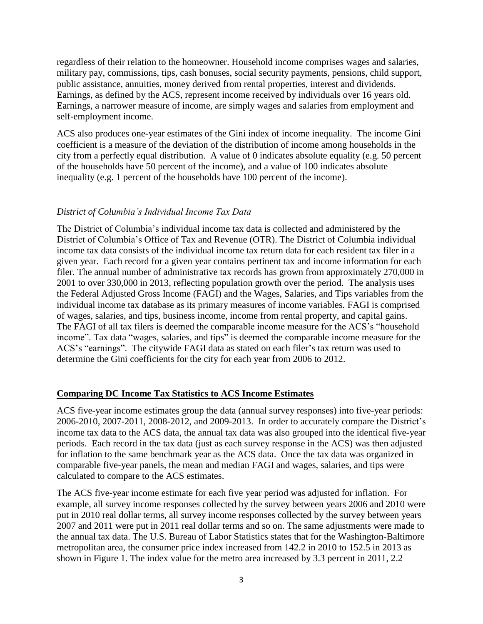regardless of their relation to the homeowner. Household income comprises wages and salaries, military pay, commissions, tips, cash bonuses, social security payments, pensions, child support, public assistance, annuities, money derived from rental properties, interest and dividends. Earnings, as defined by the ACS, represent income received by individuals over 16 years old. Earnings, a narrower measure of income, are simply wages and salaries from employment and self-employment income.

ACS also produces one-year estimates of the Gini index of income inequality. The income Gini coefficient is a measure of the deviation of the distribution of income among households in the city from a perfectly equal distribution. A value of 0 indicates absolute equality (e.g. 50 percent of the households have 50 percent of the income), and a value of 100 indicates absolute inequality (e.g. 1 percent of the households have 100 percent of the income).

## *District of Columbia's Individual Income Tax Data*

The District of Columbia's individual income tax data is collected and administered by the District of Columbia's Office of Tax and Revenue (OTR). The District of Columbia individual income tax data consists of the individual income tax return data for each resident tax filer in a given year. Each record for a given year contains pertinent tax and income information for each filer. The annual number of administrative tax records has grown from approximately 270,000 in 2001 to over 330,000 in 2013, reflecting population growth over the period. The analysis uses the Federal Adjusted Gross Income (FAGI) and the Wages, Salaries, and Tips variables from the individual income tax database as its primary measures of income variables. FAGI is comprised of wages, salaries, and tips, business income, income from rental property, and capital gains. The FAGI of all tax filers is deemed the comparable income measure for the ACS's "household income". Tax data "wages, salaries, and tips" is deemed the comparable income measure for the ACS's "earnings". The citywide FAGI data as stated on each filer's tax return was used to determine the Gini coefficients for the city for each year from 2006 to 2012.

## **Comparing DC Income Tax Statistics to ACS Income Estimates**

ACS five-year income estimates group the data (annual survey responses) into five-year periods: 2006-2010, 2007-2011, 2008-2012, and 2009-2013. In order to accurately compare the District's income tax data to the ACS data, the annual tax data was also grouped into the identical five-year periods. Each record in the tax data (just as each survey response in the ACS) was then adjusted for inflation to the same benchmark year as the ACS data. Once the tax data was organized in comparable five-year panels, the mean and median FAGI and wages, salaries, and tips were calculated to compare to the ACS estimates.

The ACS five-year income estimate for each five year period was adjusted for inflation. For example, all survey income responses collected by the survey between years 2006 and 2010 were put in 2010 real dollar terms, all survey income responses collected by the survey between years 2007 and 2011 were put in 2011 real dollar terms and so on. The same adjustments were made to the annual tax data. The U.S. Bureau of Labor Statistics states that for the Washington-Baltimore metropolitan area, the consumer price index increased from 142.2 in 2010 to 152.5 in 2013 as shown in Figure 1. The index value for the metro area increased by 3.3 percent in 2011, 2.2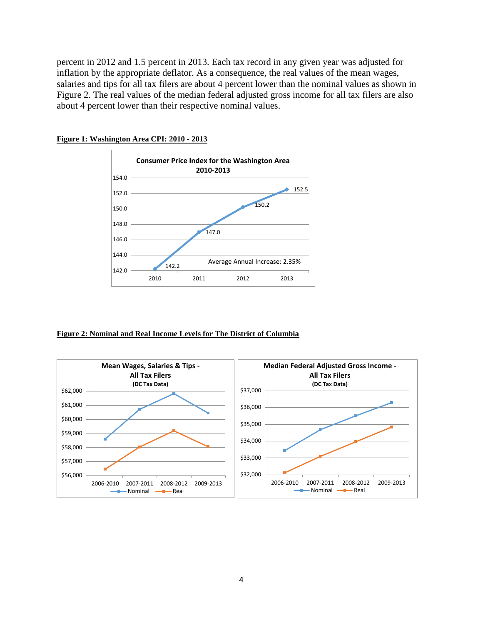percent in 2012 and 1.5 percent in 2013. Each tax record in any given year was adjusted for inflation by the appropriate deflator. As a consequence, the real values of the mean wages, salaries and tips for all tax filers are about 4 percent lower than the nominal values as shown in Figure 2. The real values of the median federal adjusted gross income for all tax filers are also about 4 percent lower than their respective nominal values.



#### **Figure 1: Washington Area CPI: 2010 - 2013**

#### **Figure 2: Nominal and Real Income Levels for The District of Columbia**

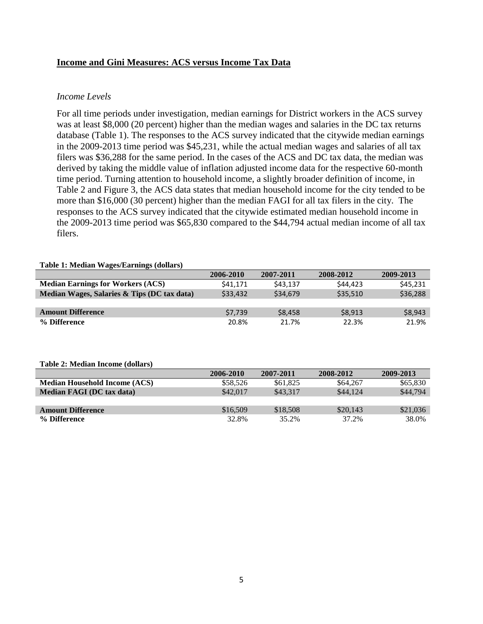## **Income and Gini Measures: ACS versus Income Tax Data**

#### *Income Levels*

For all time periods under investigation, median earnings for District workers in the ACS survey was at least \$8,000 (20 percent) higher than the median wages and salaries in the DC tax returns database (Table 1). The responses to the ACS survey indicated that the citywide median earnings in the 2009-2013 time period was \$45,231, while the actual median wages and salaries of all tax filers was \$36,288 for the same period. In the cases of the ACS and DC tax data, the median was derived by taking the middle value of inflation adjusted income data for the respective 60-month time period. Turning attention to household income, a slightly broader definition of income, in Table 2 and Figure 3, the ACS data states that median household income for the city tended to be more than \$16,000 (30 percent) higher than the median FAGI for all tax filers in the city. The responses to the ACS survey indicated that the citywide estimated median household income in the 2009-2013 time period was \$65,830 compared to the \$44,794 actual median income of all tax filers.

#### **Table 1: Median Wages/Earnings (dollars)**

|                                             | 2006-2010 | 2007-2011 | 2008-2012 | 2009-2013 |
|---------------------------------------------|-----------|-----------|-----------|-----------|
| <b>Median Earnings for Workers (ACS)</b>    | \$41.171  | \$43.137  | \$44,423  | \$45,231  |
| Median Wages, Salaries & Tips (DC tax data) | \$33,432  | \$34.679  | \$35,510  | \$36,288  |
|                                             |           |           |           |           |
| <b>Amount Difference</b>                    | \$7.739   | \$8.458   | \$8,913   | \$8,943   |
| % Difference                                | 20.8%     | 21.7%     | 22.3%     | 21.9%     |

#### **Table 2: Median Income (dollars)**

|                                      | 2006-2010 | 2007-2011 | 2008-2012 | 2009-2013 |
|--------------------------------------|-----------|-----------|-----------|-----------|
| <b>Median Household Income (ACS)</b> | \$58,526  | \$61.825  | \$64,267  | \$65,830  |
| <b>Median FAGI (DC tax data)</b>     | \$42,017  | \$43.317  | \$44,124  | \$44,794  |
|                                      |           |           |           |           |
| <b>Amount Difference</b>             | \$16,509  | \$18,508  | \$20,143  | \$21,036  |
| % Difference                         | 32.8%     | 35.2%     | 37.2%     | 38.0%     |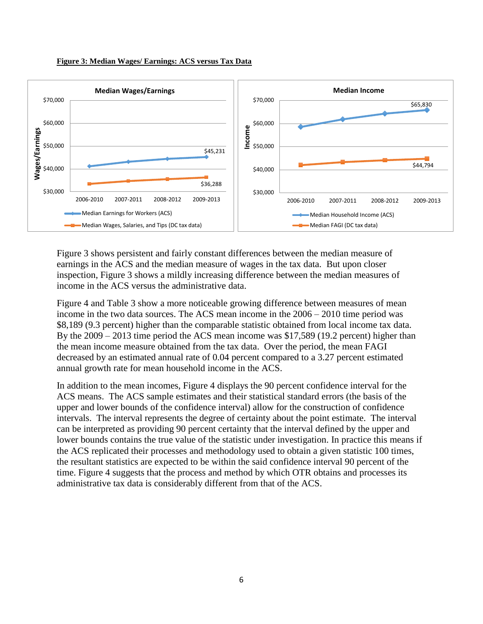



Figure 3 shows persistent and fairly constant differences between the median measure of earnings in the ACS and the median measure of wages in the tax data. But upon closer inspection, Figure 3 shows a mildly increasing difference between the median measures of income in the ACS versus the administrative data.

Figure 4 and Table 3 show a more noticeable growing difference between measures of mean income in the two data sources. The ACS mean income in the 2006 – 2010 time period was \$8,189 (9.3 percent) higher than the comparable statistic obtained from local income tax data. By the 2009 – 2013 time period the ACS mean income was \$17,589 (19.2 percent) higher than the mean income measure obtained from the tax data. Over the period, the mean FAGI decreased by an estimated annual rate of 0.04 percent compared to a 3.27 percent estimated annual growth rate for mean household income in the ACS.

In addition to the mean incomes, Figure 4 displays the 90 percent confidence interval for the ACS means. The ACS sample estimates and their statistical standard errors (the basis of the upper and lower bounds of the confidence interval) allow for the construction of confidence intervals. The interval represents the degree of certainty about the point estimate. The interval can be interpreted as providing 90 percent certainty that the interval defined by the upper and lower bounds contains the true value of the statistic under investigation. In practice this means if the ACS replicated their processes and methodology used to obtain a given statistic 100 times, the resultant statistics are expected to be within the said confidence interval 90 percent of the time. Figure 4 suggests that the process and method by which OTR obtains and processes its administrative tax data is considerably different from that of the ACS.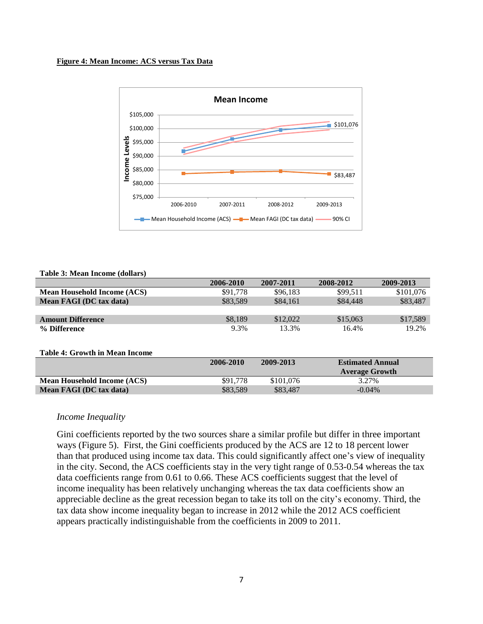#### **Figure 4: Mean Income: ACS versus Tax Data**



#### **Table 3: Mean Income (dollars)**

| 2006-2010 | 2007-2011 | 2008-2012 | 2009-2013 |
|-----------|-----------|-----------|-----------|
| \$91,778  | \$96.183  | \$99.511  | \$101,076 |
| \$83.589  | \$84,161  | \$84,448  | \$83,487  |
|           |           |           |           |
| \$8.189   | \$12,022  | \$15,063  | \$17,589  |
| 9.3%      | 13.3%     | 16.4%     | 19.2%     |
|           |           |           |           |

#### **Table 4: Growth in Mean Income**

|                                    | 2006-2010 | 2009-2013 | <b>Estimated Annual</b> |
|------------------------------------|-----------|-----------|-------------------------|
|                                    |           |           | <b>Average Growth</b>   |
| <b>Mean Household Income (ACS)</b> | \$91,778  | \$101.076 | 3.27%                   |
| Mean FAGI (DC tax data)            | \$83.589  | \$83,487  | $-0.04\%$               |

#### *Income Inequality*

Gini coefficients reported by the two sources share a similar profile but differ in three important ways (Figure 5). First, the Gini coefficients produced by the ACS are 12 to 18 percent lower than that produced using income tax data. This could significantly affect one's view of inequality in the city. Second, the ACS coefficients stay in the very tight range of 0.53-0.54 whereas the tax data coefficients range from 0.61 to 0.66. These ACS coefficients suggest that the level of income inequality has been relatively unchanging whereas the tax data coefficients show an appreciable decline as the great recession began to take its toll on the city's economy. Third, the tax data show income inequality began to increase in 2012 while the 2012 ACS coefficient appears practically indistinguishable from the coefficients in 2009 to 2011.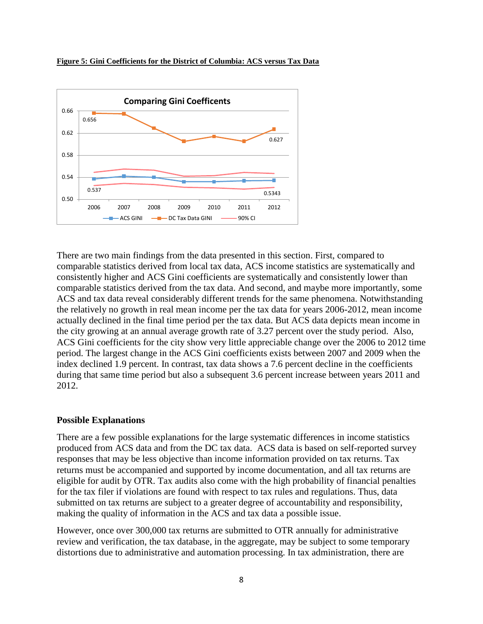



There are two main findings from the data presented in this section. First, compared to comparable statistics derived from local tax data, ACS income statistics are systematically and consistently higher and ACS Gini coefficients are systematically and consistently lower than comparable statistics derived from the tax data. And second, and maybe more importantly, some ACS and tax data reveal considerably different trends for the same phenomena. Notwithstanding the relatively no growth in real mean income per the tax data for years 2006-2012, mean income actually declined in the final time period per the tax data. But ACS data depicts mean income in the city growing at an annual average growth rate of 3.27 percent over the study period. Also, ACS Gini coefficients for the city show very little appreciable change over the 2006 to 2012 time period. The largest change in the ACS Gini coefficients exists between 2007 and 2009 when the index declined 1.9 percent. In contrast, tax data shows a 7.6 percent decline in the coefficients during that same time period but also a subsequent 3.6 percent increase between years 2011 and 2012.

## **Possible Explanations**

There are a few possible explanations for the large systematic differences in income statistics produced from ACS data and from the DC tax data. ACS data is based on self-reported survey responses that may be less objective than income information provided on tax returns. Tax returns must be accompanied and supported by income documentation, and all tax returns are eligible for audit by OTR. Tax audits also come with the high probability of financial penalties for the tax filer if violations are found with respect to tax rules and regulations. Thus, data submitted on tax returns are subject to a greater degree of accountability and responsibility, making the quality of information in the ACS and tax data a possible issue.

However, once over 300,000 tax returns are submitted to OTR annually for administrative review and verification, the tax database, in the aggregate, may be subject to some temporary distortions due to administrative and automation processing. In tax administration, there are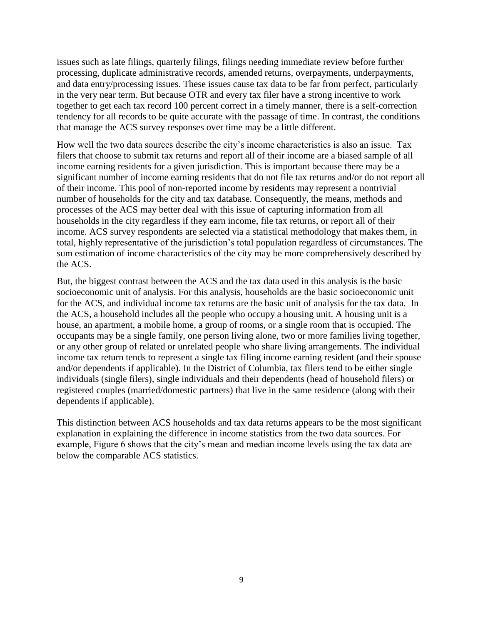issues such as late filings, quarterly filings, filings needing immediate review before further processing, duplicate administrative records, amended returns, overpayments, underpayments, and data entry/processing issues. These issues cause tax data to be far from perfect, particularly in the very near term. But because OTR and every tax filer have a strong incentive to work together to get each tax record 100 percent correct in a timely manner, there is a self-correction tendency for all records to be quite accurate with the passage of time. In contrast, the conditions that manage the ACS survey responses over time may be a little different.

How well the two data sources describe the city's income characteristics is also an issue. Tax filers that choose to submit tax returns and report all of their income are a biased sample of all income earning residents for a given jurisdiction. This is important because there may be a significant number of income earning residents that do not file tax returns and/or do not report all of their income. This pool of non-reported income by residents may represent a nontrivial number of households for the city and tax database. Consequently, the means, methods and processes of the ACS may better deal with this issue of capturing information from all households in the city regardless if they earn income, file tax returns, or report all of their income. ACS survey respondents are selected via a statistical methodology that makes them, in total, highly representative of the jurisdiction's total population regardless of circumstances. The sum estimation of income characteristics of the city may be more comprehensively described by the ACS.

But, the biggest contrast between the ACS and the tax data used in this analysis is the basic socioeconomic unit of analysis. For this analysis, households are the basic socioeconomic unit for the ACS, and individual income tax returns are the basic unit of analysis for the tax data. In the ACS, a household includes all the people who occupy a housing unit. A housing unit is a house, an apartment, a mobile home, a group of rooms, or a single room that is occupied. The occupants may be a single family, one person living alone, two or more families living together, or any other group of related or unrelated people who share living arrangements. The individual income tax return tends to represent a single tax filing income earning resident (and their spouse and/or dependents if applicable). In the District of Columbia, tax filers tend to be either single individuals (single filers), single individuals and their dependents (head of household filers) or registered couples (married/domestic partners) that live in the same residence (along with their dependents if applicable).

This distinction between ACS households and tax data returns appears to be the most significant explanation in explaining the difference in income statistics from the two data sources. For example, Figure 6 shows that the city's mean and median income levels using the tax data are below the comparable ACS statistics.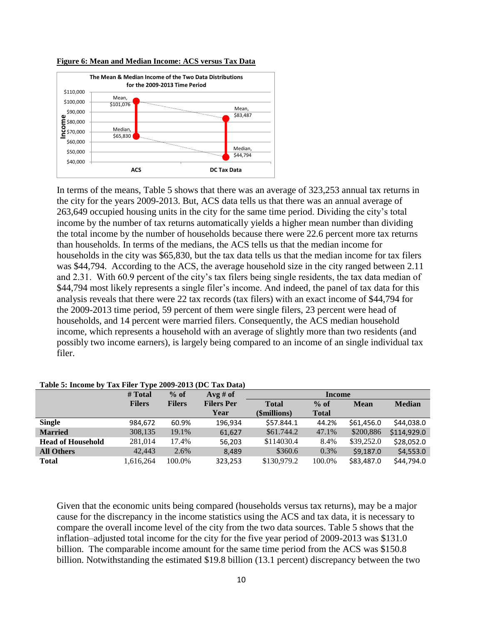



In terms of the means, Table 5 shows that there was an average of 323,253 annual tax returns in the city for the years 2009-2013. But, ACS data tells us that there was an annual average of 263,649 occupied housing units in the city for the same time period. Dividing the city's total income by the number of tax returns automatically yields a higher mean number than dividing the total income by the number of households because there were 22.6 percent more tax returns than households. In terms of the medians, the ACS tells us that the median income for households in the city was \$65,830, but the tax data tells us that the median income for tax filers was \$44,794. According to the ACS, the average household size in the city ranged between 2.11 and 2.31. With 60.9 percent of the city's tax filers being single residents, the tax data median of \$44,794 most likely represents a single filer's income. And indeed, the panel of tax data for this analysis reveals that there were 22 tax records (tax filers) with an exact income of \$44,794 for the 2009-2013 time period, 59 percent of them were single filers, 23 percent were head of households, and 14 percent were married filers. Consequently, the ACS median household income, which represents a household with an average of slightly more than two residents (and possibly two income earners), is largely being compared to an income of an single individual tax filer.

|                          | # Total       | $%$ of        | $Avg \# of$       | <b>Income</b> |              |             |               |
|--------------------------|---------------|---------------|-------------------|---------------|--------------|-------------|---------------|
|                          | <b>Filers</b> | <b>Filers</b> | <b>Filers Per</b> | <b>Total</b>  | $%$ of       | <b>Mean</b> | <b>Median</b> |
|                          |               |               | Year              | (\$millions)  | <b>Total</b> |             |               |
| <b>Single</b>            | 984,672       | 60.9%         | 196.934           | \$57.844.1    | 44.2%        | \$61,456.0  | \$44,038.0    |
| <b>Married</b>           | 308,135       | 19.1%         | 61,627            | \$61.744.2    | 47.1%        | \$200,886   | \$114,929.0   |
| <b>Head of Household</b> | 281,014       | 17.4%         | 56.203            | \$114030.4    | 8.4%         | \$39,252.0  | \$28,052.0    |
| <b>All Others</b>        | 42,443        | 2.6%          | 8.489             | \$360.6       | $0.3\%$      | \$9,187.0   | \$4,553.0     |
| <b>Total</b>             | 1,616,264     | 100.0%        | 323,253           | \$130,979.2   | 100.0%       | \$83,487.0  | \$44,794.0    |

**Table 5: Income by Tax Filer Type 2009-2013 (DC Tax Data)**

Given that the economic units being compared (households versus tax returns), may be a major cause for the discrepancy in the income statistics using the ACS and tax data, it is necessary to compare the overall income level of the city from the two data sources. Table 5 shows that the inflation–adjusted total income for the city for the five year period of 2009-2013 was \$131.0 billion. The comparable income amount for the same time period from the ACS was \$150.8 billion. Notwithstanding the estimated \$19.8 billion (13.1 percent) discrepancy between the two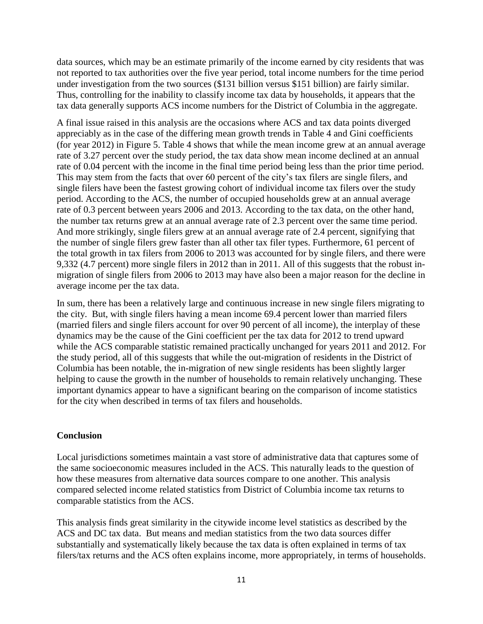data sources, which may be an estimate primarily of the income earned by city residents that was not reported to tax authorities over the five year period, total income numbers for the time period under investigation from the two sources (\$131 billion versus \$151 billion) are fairly similar. Thus, controlling for the inability to classify income tax data by households, it appears that the tax data generally supports ACS income numbers for the District of Columbia in the aggregate.

A final issue raised in this analysis are the occasions where ACS and tax data points diverged appreciably as in the case of the differing mean growth trends in Table 4 and Gini coefficients (for year 2012) in Figure 5. Table 4 shows that while the mean income grew at an annual average rate of 3.27 percent over the study period, the tax data show mean income declined at an annual rate of 0.04 percent with the income in the final time period being less than the prior time period. This may stem from the facts that over 60 percent of the city's tax filers are single filers, and single filers have been the fastest growing cohort of individual income tax filers over the study period. According to the ACS, the number of occupied households grew at an annual average rate of 0.3 percent between years 2006 and 2013. According to the tax data, on the other hand, the number tax returns grew at an annual average rate of 2.3 percent over the same time period. And more strikingly, single filers grew at an annual average rate of 2.4 percent, signifying that the number of single filers grew faster than all other tax filer types. Furthermore, 61 percent of the total growth in tax filers from 2006 to 2013 was accounted for by single filers, and there were 9,332 (4.7 percent) more single filers in 2012 than in 2011. All of this suggests that the robust inmigration of single filers from 2006 to 2013 may have also been a major reason for the decline in average income per the tax data.

In sum, there has been a relatively large and continuous increase in new single filers migrating to the city. But, with single filers having a mean income 69.4 percent lower than married filers (married filers and single filers account for over 90 percent of all income), the interplay of these dynamics may be the cause of the Gini coefficient per the tax data for 2012 to trend upward while the ACS comparable statistic remained practically unchanged for years 2011 and 2012. For the study period, all of this suggests that while the out-migration of residents in the District of Columbia has been notable, the in-migration of new single residents has been slightly larger helping to cause the growth in the number of households to remain relatively unchanging. These important dynamics appear to have a significant bearing on the comparison of income statistics for the city when described in terms of tax filers and households.

## **Conclusion**

Local jurisdictions sometimes maintain a vast store of administrative data that captures some of the same socioeconomic measures included in the ACS. This naturally leads to the question of how these measures from alternative data sources compare to one another. This analysis compared selected income related statistics from District of Columbia income tax returns to comparable statistics from the ACS.

This analysis finds great similarity in the citywide income level statistics as described by the ACS and DC tax data. But means and median statistics from the two data sources differ substantially and systematically likely because the tax data is often explained in terms of tax filers/tax returns and the ACS often explains income, more appropriately, in terms of households.